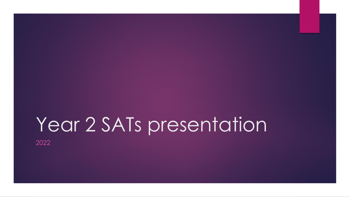# Year 2 SATs presentation

2022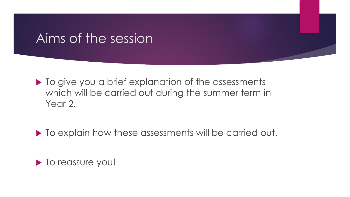#### Aims of the session

 $\blacktriangleright$  To give you a brief explanation of the assessments which will be carried out during the summer term in Year 2.

 $\blacktriangleright$  To explain how these assessments will be carried out.

 $\blacktriangleright$  To reassure you!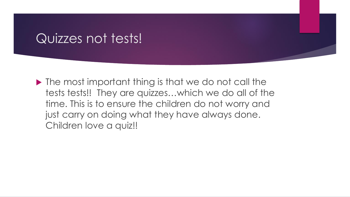#### Quizzes not tests!

 $\blacktriangleright$  The most important thing is that we do not call the tests tests!! They are quizzes…which we do all of the time. This is to ensure the children do not worry and just carry on doing what they have always done. Children love a quiz!!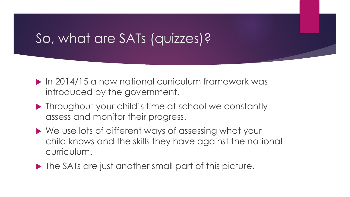# So, what are SATs (quizzes)?

- ▶ In 2014/15 a new national curriculum framework was introduced by the government.
- **Throughout your child's time at school we constantly** assess and monitor their progress.
- ▶ We use lots of different ways of assessing what your child knows and the skills they have against the national curriculum.
- ▶ The SATs are just another small part of this picture.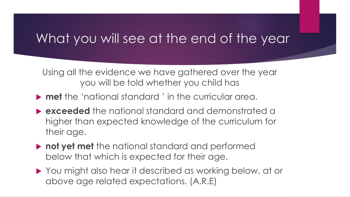#### What you will see at the end of the year

Using all the evidence we have gathered over the year you will be told whether you child has

- **met** the 'national standard ' in the curricular area.
- **exceeded** the national standard and demonstrated a higher than expected knowledge of the curriculum for their age.
- **not yet met** the national standard and performed below that which is expected for their age.
- ▶ You might also hear it described as working below, at or above age related expectations. (A.R.E)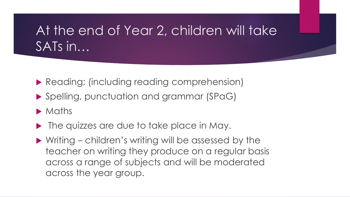# At the end of Year 2, children will take SATs in…

- **Reading; (including reading comprehension)**
- ▶ Spelling, punctuation and grammar (SPaG)
- **Maths**
- ▶ The quizzes are due to take place in May.
- ▶ Writing children's writing will be assessed by the teacher on writing they produce on a regular basis across a range of subjects and will be moderated across the year group.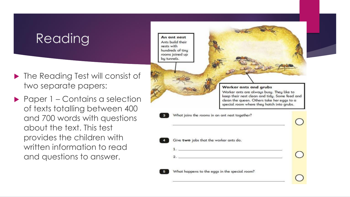# Reading

- ▶ The Reading Test will consist of two separate papers:
- ▶ Paper 1 Contains a selection of texts totalling between 400 and 700 words with questions about the text. This test provides the children with written information to read and questions to answer.

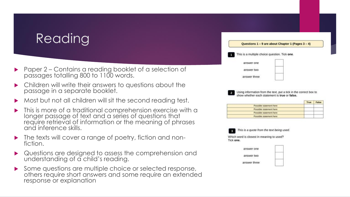# **Reading**

- ▶ Paper 2 Contains a reading booklet of a selection of passages totalling 800 to 1100 words.
- Children will write their answers to questions about the passage in a separate booklet.
- Most but not all children will sit the second reading test.
- This is more of a traditional comprehension exercise with a longer passage of text and a series of questions that require retrieval of information or the meaning of phrases and inference skills.
- The texts will cover a range of poetry, fiction and nonfiction.
- Questions are designed to assess the comprehension and understanding of a child's reading.
- Some questions are multiple choice or selected response, others require short answers and some require an extended response or explanation



Using information from the text, put a tick in the correct box to show whether each statement is true or false.

|                          | True | False |
|--------------------------|------|-------|
| Possible statement here  |      |       |
| Possible statement here  |      |       |
| Possible statement here: |      |       |
| Possible statement here  |      |       |



This is a quote from the text being used.

Which word is closest in meaning to used? Tick one.

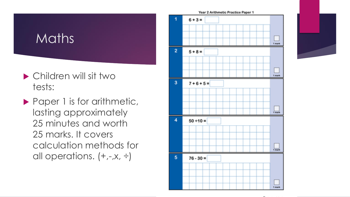# Maths

- Children will sit two tests:
- Paper 1 is for arithmetic, lasting approximately 25 minutes and worth 25 marks. It covers calculation methods for all operations.  $(+,-,x, \div)$



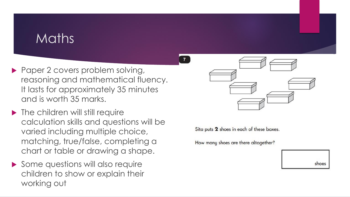#### Maths

- Paper 2 covers problem solving, reasoning and mathematical fluency. It lasts for approximately 35 minutes and is worth 35 marks.
- ▶ The children will still require calculation skills and questions will be varied including multiple choice, matching, true/false, completing a chart or table or drawing a shape.
- Some questions will also require children to show or explain their working out



Sita puts 2 shoes in each of these boxes.

How many shoes are there altogether?

| ines<br>s |
|-----------|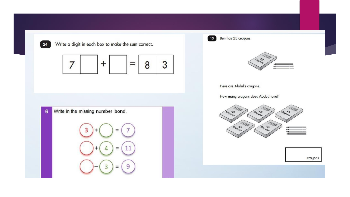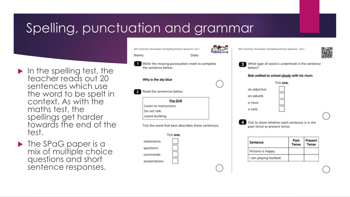# Spelling, punctuation and grammar

- $\blacktriangleright$  In the spelling test, the teacher reads out 20 sentences which use the word to be spelt in context. As with the maths test, the spellings get harder towards the end of the test.
- **The SPaG paper is a** mix of multiple choice questions and short sentence responses.

|                     | SATs Grammar, Punctuation and Spelling Practice Questions Set 3       |   | SATs Grammar, Punctuption and Spelling Practise Questions Set 1              |               |                  |  |
|---------------------|-----------------------------------------------------------------------|---|------------------------------------------------------------------------------|---------------|------------------|--|
| Name:<br>Dote:      |                                                                       |   |                                                                              |               |                  |  |
|                     | Write the missing punctuation mark to complete<br>the sentence below. | 毊 | What type of word is underlined in the senter<br>helow?                      |               |                  |  |
|                     |                                                                       |   | Bob walked to school slowly with his mum,                                    |               |                  |  |
| Why is the sky blue |                                                                       |   | Tick one.                                                                    |               |                  |  |
|                     | Read the sentences below.                                             |   | on odjective                                                                 |               |                  |  |
|                     |                                                                       |   | an adverb                                                                    |               |                  |  |
|                     | <b>Fire Drill</b>                                                     |   | a noun                                                                       |               |                  |  |
|                     | Listen to instructions.                                               |   | a verb                                                                       |               |                  |  |
|                     | Do not talk.                                                          |   |                                                                              |               |                  |  |
|                     | Leave building.                                                       |   |                                                                              |               |                  |  |
|                     | Tick the word that best describes these sentences.                    |   | Tick to show whether each sentence is in the<br>post tense or present tense. |               |                  |  |
|                     | Tick one.                                                             |   |                                                                              |               |                  |  |
|                     | statements                                                            |   | Sentence                                                                     | Post<br>Tense | Present<br>Tense |  |
|                     | questions                                                             |   | Victoria is happy.                                                           |               |                  |  |
|                     | commonds                                                              |   | I am playing football.                                                       |               |                  |  |
|                     | exclamations                                                          |   |                                                                              |               |                  |  |
|                     |                                                                       |   |                                                                              |               |                  |  |

sentence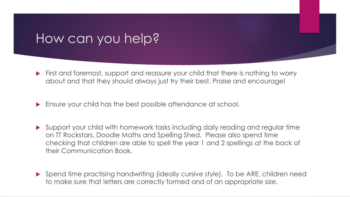#### How can you help?

- First and foremost, support and reassure your child that there is nothing to worry about and that they should always just try their best. Praise and encourage!
- **Ensure your child has the best possible attendance at school.**
- Support your child with homework tasks including daily reading and regular time on TT Rockstars, Doodle Maths and Spelling Shed. Please also spend time checking that children are able to spell the year 1 and 2 spellings at the back of their Communication Book.
- Spend time practising handwriting (ideally cursive style). To be ARE, children need to make sure that letters are correctly formed and of an appropriate size.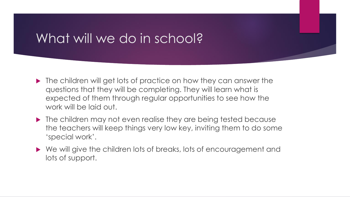#### What will we do in school?

- ▶ The children will get lots of practice on how they can answer the questions that they will be completing. They will learn what is expected of them through regular opportunities to see how the work will be laid out.
- $\blacktriangleright$  The children may not even realise they are being tested because the teachers will keep things very low key, inviting them to do some 'special work'.
- ▶ We will give the children lots of breaks, lots of encouragement and lots of support.